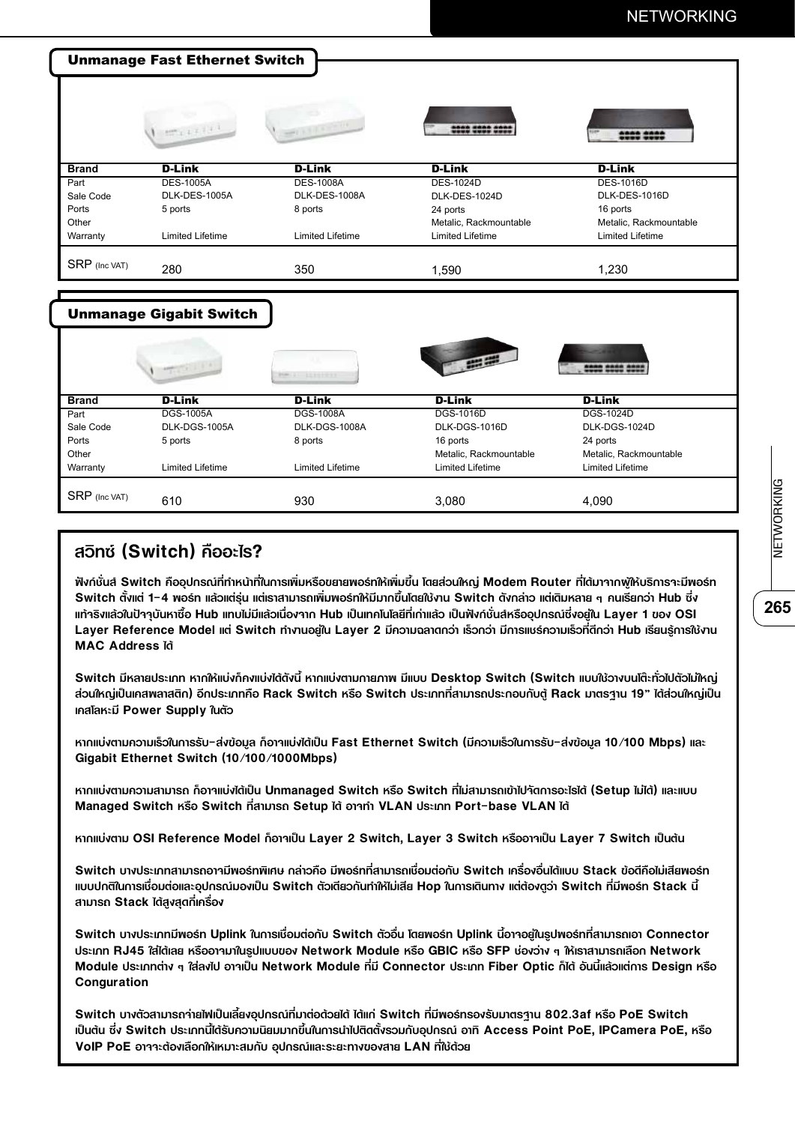## NETWORKING

| <b>Unmanage Fast Ethernet Switch</b> |                                |                         |                         |                         |  |  |
|--------------------------------------|--------------------------------|-------------------------|-------------------------|-------------------------|--|--|
|                                      | $10^{10} + 1 + 1.5$            | <b>WEIGHTEN</b>         | 2202 2000 200           | <b>SORO 2000</b>        |  |  |
| <b>Brand</b>                         | <b>D-Link</b>                  | <b>D-Link</b>           | <b>D-Link</b>           | <b>D-Link</b>           |  |  |
| Part                                 | <b>DES-1005A</b>               | <b>DES-1008A</b>        | <b>DES-1024D</b>        | <b>DES-1016D</b>        |  |  |
| Sale Code                            | DLK-DES-1005A                  | DLK-DES-1008A           | DLK-DES-1024D           | DLK-DES-1016D           |  |  |
| Ports                                | 5 ports                        | 8 ports                 | 24 ports                | 16 ports                |  |  |
| Other                                |                                |                         | Metalic, Rackmountable  | Metalic, Rackmountable  |  |  |
| Warranty                             | <b>Limited Lifetime</b>        | <b>Limited Lifetime</b> | <b>Limited Lifetime</b> | <b>Limited Lifetime</b> |  |  |
| SRP (Inc VAT)                        | 280                            | 350                     | 1,590                   | 1,230                   |  |  |
|                                      |                                |                         |                         |                         |  |  |
|                                      | <b>Unmanage Gigabit Switch</b> |                         |                         |                         |  |  |
|                                      |                                |                         |                         |                         |  |  |

|                 |                  |                  | <b>PARTIES</b>         | <b>2000 0000 0</b>     |
|-----------------|------------------|------------------|------------------------|------------------------|
| Brand           | D-Link           | <b>D-Link</b>    | <b>D-Link</b>          | <b>D-Link</b>          |
| Part            | <b>DGS-1005A</b> | <b>DGS-1008A</b> | <b>DGS-1016D</b>       | DGS-1024D              |
| Sale Code       | DLK-DGS-1005A    | DLK-DGS-1008A    | DLK-DGS-1016D          | DLK-DGS-1024D          |
| Ports           | 5 ports          | 8 ports          | 16 ports               | 24 ports               |
| Other           |                  |                  | Metalic, Rackmountable | Metalic, Rackmountable |
| Warranty        | Limited Lifetime | Limited Lifetime | Limited Lifetime       | Limited Lifetime       |
| $SRP$ (Inc VAT) | 610              | 930              | 3,080                  | 4,090                  |

## **สวิทซ์ (Switch) คืออะไร?**

**ฟังก์ชั่นส์ Switch คืออุปกรณ์ที่ทำ�หน้าที่ในการเพิ่มหรือขยายพอร์ทให้เพิ่มขึ้น โดยส่วนใหญ่ Modem Router ที่ได้มาจากผู้ให้บริการจะมีพอร์ท Switch ตั้งแต่ 1-4 พอร์ท แล้วแต่รุ่น แต่เราสามารถเพิ่มพอร์ทให้มีมากขื้นโดยใช้งาน Switch ดังกล่าว แต่เดิมหลาย ๆ คนเรียกว่า Hub ซึ่ง แท้จริงแล้วในปัจจุบันหาซื้อ Hub แทบไม่มีแล้วเนื่องจาก Hub เป็นเทคโนโลยีที่เก่าแล้ว เป็นฟังก์ชั่นส์หรืออุปกรณ์ซึ่งอยู่ใน Layer 1 ของ OSI Layer Reference Model แต่ Switch ทำ�งานอยู่ใน Layer 2 มีความฉลาดกว่า เร็วกว่า มีการแชร์ความเร็วที่ดีกว่า Hub เรียนรู้การใช้งาน MAC Address ได้**

**Switch มีหลายประเภท หากให้แบ่งก็คงแบ่งได้ดังนี้ หากแบ่งตามกายภาพ มีแบบ Desktop Switch (Switch แบบใช้วางบนโต๊ะทั่วไปตัวไม่ใหญ่ ส่วนใหญ่เป็นเคสพลาสติก) อีกประเภทคือ Rack Switch หรือ Switch ประเภทที่สามารถประกอบกับตู้ Rack มาตรฐาน 19" ได้ส่วนใหญ่เป็น เคสโลหะมี Power Supply ในตัว**

**หากแบ่งตามความเร็วในการรับ-ส่งข้อมูล ก็อาจแบ่งได้เป็น Fast Ethernet Switch (มีความเร็วในการรับ-ส่งข้อมูล 10/100 Mbps) และ Gigabit Ethernet Switch (10/100/1000Mbps)**

**หากแบ่งตามความสามารถ ก็อาจแบ่งได้เป็น Unmanaged Switch หรือ Switch ที่ไม่สามารถเข้าไปจัดการอะไรได้ (Setup ไม่ได้) และแบบ Managed Switch หรือ Switch ที่สามารถ Setup ได้ อาจทำ� VLAN ประเภท Port-base VLAN ได้**

**หากแบ่งตาม OSI Reference Model ก็อาจเป็น Layer 2 Switch, Layer 3 Switch หรืออาจเป็น Layer 7 Switch เป็นต้น** 

**Switch บางประเภทสามารถอาจมีพอร์ทพิเศษ กล่าวคือ มีพอร์ทที่สามารถเชื่อมต่อกับ Switch เครื่องอื่นได้แบบ Stack ข้อดีคือไม่เสียพอร์ท แบบปกติในการเชื่อมต่อและอุปกรณ์มองเป็น Switch ตัวเดียวกันทำ�ให้ไม่เสีย Hop ในการเดินทาง แต่ต้องดูว่า Switch ที่มีพอร์ท Stack นี้ สามารถ Stack ได้สูงสุดกี่เครื่อง**

**Switch บางประเภทมีพอร์ท Uplink ในการเชื่อมต่อกับ Switch ตัวอื่น โดยพอร์ท Uplink นี้อาจอยู่ในรูปพอร์ทที่สามารถเอา Connector ประเภท RJ45 ใส่ได้เลย หรืออาจมาในรูปแบบของ Network Module หรือ GBIC หรือ SFP ช่องว่าง ๆ ให้เราสามารถเลือก Network Module ประเภทต่าง ๆ ใส่ลงไป อาจเป็น Network Module ที่มี Connector ประเภท Fiber Optic ก็ได้ อันนี้แล้วแต่การ Design หรือ Conguration** 

**Switch บางตัวสามารถจ่ายไฟเป็นเลี้ยงอุปกรณ์ที่มาต่อด้วยได้ ได้แก่ Switch ที่มีพอร์ทรองรับมาตรฐาน 802.3af หรือ PoE Switch เป็นต้น ซึ่ง Switch ประเภทนี้ได้รับความนิยมมากขึ้นในการนำ�ไปติดตั้งรวมกับอุปกรณ์ อาทิ Access Point PoE, IPCamera PoE, หรือ VoIP PoE อาจจะต้องเลือกให้เหมาะสมกับ อุปกรณ์และระยะทางของสาย LAN ที่ใช้ด้วย**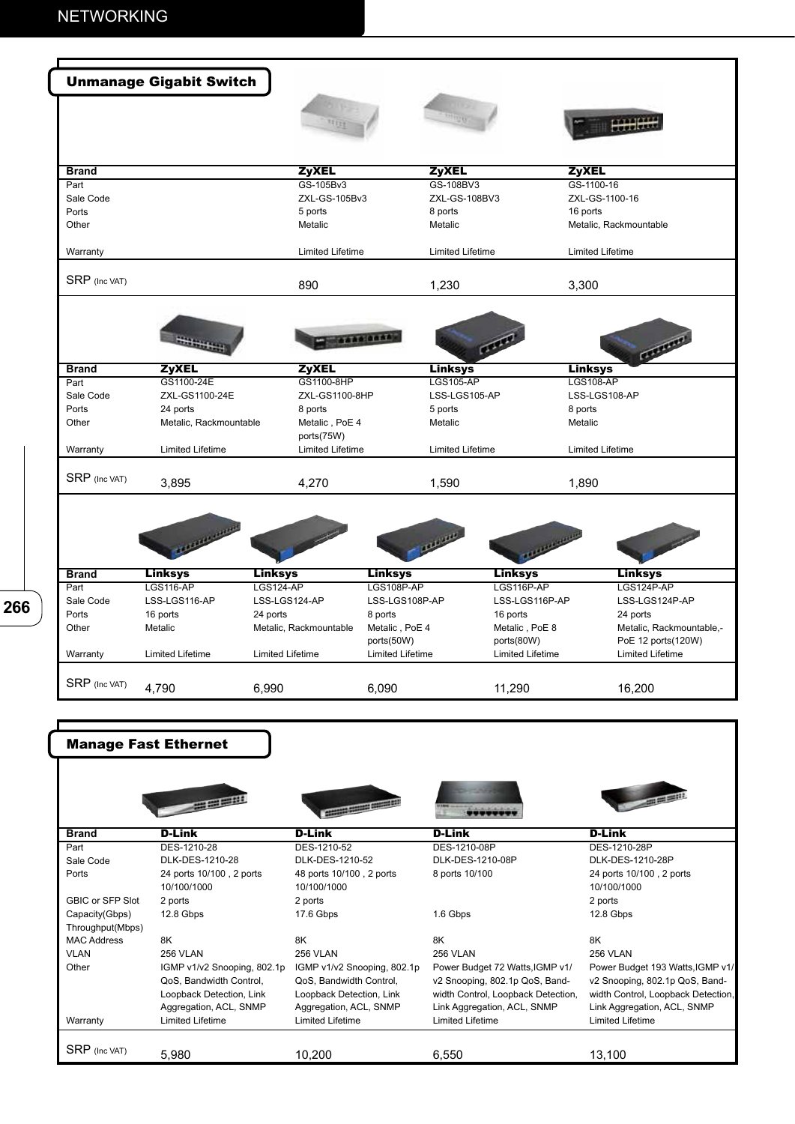**266**

| <b>ZyXEL</b><br><b>ZyXEL</b><br><b>ZyXEL</b><br><b>Brand</b><br>GS-105Bv3<br>GS-108BV3<br>GS-1100-16<br>Part<br>Sale Code<br>ZXL-GS-105Bv3<br>ZXL-GS-108BV3<br>ZXL-GS-1100-16<br>Ports<br>16 ports<br>5 ports<br>8 ports<br>Other<br>Metalic<br>Metalic<br>Metalic, Rackmountable<br><b>Limited Lifetime</b><br><b>Limited Lifetime</b><br><b>Limited Lifetime</b><br>Warranty<br>SRP (Inc VAT)<br>890<br>1,230<br>3,300<br><b>1000 0000</b><br><b>ZyXEL</b><br><b>ZyXEL</b><br><b>Linksys</b><br><b>Linksys</b><br><b>Brand</b><br>GS1100-24E<br>GS1100-8HP<br><b>LGS105-AP</b><br><b>LGS108-AP</b><br>Part<br>Sale Code<br>ZXL-GS1100-24E<br>ZXL-GS1100-8HP<br>LSS-LGS105-AP<br>LSS-LGS108-AP<br>Ports<br>24 ports<br>8 ports<br>5 ports<br>8 ports<br>Other<br>Metalic, Rackmountable<br>Metalic, PoE 4<br>Metalic<br>Metalic<br>ports(75W)<br><b>Limited Lifetime</b><br><b>Limited Lifetime</b><br><b>Limited Lifetime</b><br><b>Limited Lifetime</b><br>Warranty<br>SRP (Inc VAT)<br>3,895<br>4,270<br>1,590<br>1,890<br>a king a server<br><b>Linksys</b><br><b>Linksys</b><br><b>Linksys</b><br><b>Linksys</b><br><b>Linksys</b><br><b>Brand</b><br><b>LGS116-AP</b><br><b>LGS124-AP</b><br>LGS116P-AP<br>LGS108P-AP<br>LGS124P-AP<br>Part<br>Sale Code<br>LSS-LGS116-AP<br>LSS-LGS124-AP<br>LSS-LGS108P-AP<br>LSS-LGS116P-AP<br>Ports<br>16 ports<br>24 ports<br>8 ports<br>16 ports<br>24 ports<br>Other<br>Metalic<br>Metalic, Rackmountable<br>Metalic, PoE 4<br>Metalic, PoE 8<br>ports(50W)<br>ports(80W)<br><b>Limited Lifetime</b><br>Limited Lifetime<br>Warranty<br>Limited Lifetime<br>Limited Lifetime<br>Limited Lifetime<br>SRP (Inc VAT)<br>4,790<br>6,990<br>6,090<br>11,290<br>16,200<br><b>Manage Fast Ethernet</b> |                          |  |  |  | <b>Unmanage Gigabit Switch</b> |  |
|-----------------------------------------------------------------------------------------------------------------------------------------------------------------------------------------------------------------------------------------------------------------------------------------------------------------------------------------------------------------------------------------------------------------------------------------------------------------------------------------------------------------------------------------------------------------------------------------------------------------------------------------------------------------------------------------------------------------------------------------------------------------------------------------------------------------------------------------------------------------------------------------------------------------------------------------------------------------------------------------------------------------------------------------------------------------------------------------------------------------------------------------------------------------------------------------------------------------------------------------------------------------------------------------------------------------------------------------------------------------------------------------------------------------------------------------------------------------------------------------------------------------------------------------------------------------------------------------------------------------------------------------------------------------------------------------------------------------------------------------------|--------------------------|--|--|--|--------------------------------|--|
|                                                                                                                                                                                                                                                                                                                                                                                                                                                                                                                                                                                                                                                                                                                                                                                                                                                                                                                                                                                                                                                                                                                                                                                                                                                                                                                                                                                                                                                                                                                                                                                                                                                                                                                                               |                          |  |  |  |                                |  |
|                                                                                                                                                                                                                                                                                                                                                                                                                                                                                                                                                                                                                                                                                                                                                                                                                                                                                                                                                                                                                                                                                                                                                                                                                                                                                                                                                                                                                                                                                                                                                                                                                                                                                                                                               |                          |  |  |  |                                |  |
|                                                                                                                                                                                                                                                                                                                                                                                                                                                                                                                                                                                                                                                                                                                                                                                                                                                                                                                                                                                                                                                                                                                                                                                                                                                                                                                                                                                                                                                                                                                                                                                                                                                                                                                                               |                          |  |  |  |                                |  |
|                                                                                                                                                                                                                                                                                                                                                                                                                                                                                                                                                                                                                                                                                                                                                                                                                                                                                                                                                                                                                                                                                                                                                                                                                                                                                                                                                                                                                                                                                                                                                                                                                                                                                                                                               |                          |  |  |  |                                |  |
|                                                                                                                                                                                                                                                                                                                                                                                                                                                                                                                                                                                                                                                                                                                                                                                                                                                                                                                                                                                                                                                                                                                                                                                                                                                                                                                                                                                                                                                                                                                                                                                                                                                                                                                                               |                          |  |  |  |                                |  |
|                                                                                                                                                                                                                                                                                                                                                                                                                                                                                                                                                                                                                                                                                                                                                                                                                                                                                                                                                                                                                                                                                                                                                                                                                                                                                                                                                                                                                                                                                                                                                                                                                                                                                                                                               |                          |  |  |  |                                |  |
|                                                                                                                                                                                                                                                                                                                                                                                                                                                                                                                                                                                                                                                                                                                                                                                                                                                                                                                                                                                                                                                                                                                                                                                                                                                                                                                                                                                                                                                                                                                                                                                                                                                                                                                                               |                          |  |  |  |                                |  |
|                                                                                                                                                                                                                                                                                                                                                                                                                                                                                                                                                                                                                                                                                                                                                                                                                                                                                                                                                                                                                                                                                                                                                                                                                                                                                                                                                                                                                                                                                                                                                                                                                                                                                                                                               |                          |  |  |  |                                |  |
|                                                                                                                                                                                                                                                                                                                                                                                                                                                                                                                                                                                                                                                                                                                                                                                                                                                                                                                                                                                                                                                                                                                                                                                                                                                                                                                                                                                                                                                                                                                                                                                                                                                                                                                                               |                          |  |  |  |                                |  |
|                                                                                                                                                                                                                                                                                                                                                                                                                                                                                                                                                                                                                                                                                                                                                                                                                                                                                                                                                                                                                                                                                                                                                                                                                                                                                                                                                                                                                                                                                                                                                                                                                                                                                                                                               |                          |  |  |  |                                |  |
|                                                                                                                                                                                                                                                                                                                                                                                                                                                                                                                                                                                                                                                                                                                                                                                                                                                                                                                                                                                                                                                                                                                                                                                                                                                                                                                                                                                                                                                                                                                                                                                                                                                                                                                                               | Contract                 |  |  |  |                                |  |
|                                                                                                                                                                                                                                                                                                                                                                                                                                                                                                                                                                                                                                                                                                                                                                                                                                                                                                                                                                                                                                                                                                                                                                                                                                                                                                                                                                                                                                                                                                                                                                                                                                                                                                                                               |                          |  |  |  |                                |  |
|                                                                                                                                                                                                                                                                                                                                                                                                                                                                                                                                                                                                                                                                                                                                                                                                                                                                                                                                                                                                                                                                                                                                                                                                                                                                                                                                                                                                                                                                                                                                                                                                                                                                                                                                               |                          |  |  |  |                                |  |
|                                                                                                                                                                                                                                                                                                                                                                                                                                                                                                                                                                                                                                                                                                                                                                                                                                                                                                                                                                                                                                                                                                                                                                                                                                                                                                                                                                                                                                                                                                                                                                                                                                                                                                                                               |                          |  |  |  |                                |  |
|                                                                                                                                                                                                                                                                                                                                                                                                                                                                                                                                                                                                                                                                                                                                                                                                                                                                                                                                                                                                                                                                                                                                                                                                                                                                                                                                                                                                                                                                                                                                                                                                                                                                                                                                               |                          |  |  |  |                                |  |
|                                                                                                                                                                                                                                                                                                                                                                                                                                                                                                                                                                                                                                                                                                                                                                                                                                                                                                                                                                                                                                                                                                                                                                                                                                                                                                                                                                                                                                                                                                                                                                                                                                                                                                                                               |                          |  |  |  |                                |  |
|                                                                                                                                                                                                                                                                                                                                                                                                                                                                                                                                                                                                                                                                                                                                                                                                                                                                                                                                                                                                                                                                                                                                                                                                                                                                                                                                                                                                                                                                                                                                                                                                                                                                                                                                               |                          |  |  |  |                                |  |
|                                                                                                                                                                                                                                                                                                                                                                                                                                                                                                                                                                                                                                                                                                                                                                                                                                                                                                                                                                                                                                                                                                                                                                                                                                                                                                                                                                                                                                                                                                                                                                                                                                                                                                                                               |                          |  |  |  |                                |  |
|                                                                                                                                                                                                                                                                                                                                                                                                                                                                                                                                                                                                                                                                                                                                                                                                                                                                                                                                                                                                                                                                                                                                                                                                                                                                                                                                                                                                                                                                                                                                                                                                                                                                                                                                               |                          |  |  |  |                                |  |
|                                                                                                                                                                                                                                                                                                                                                                                                                                                                                                                                                                                                                                                                                                                                                                                                                                                                                                                                                                                                                                                                                                                                                                                                                                                                                                                                                                                                                                                                                                                                                                                                                                                                                                                                               |                          |  |  |  |                                |  |
|                                                                                                                                                                                                                                                                                                                                                                                                                                                                                                                                                                                                                                                                                                                                                                                                                                                                                                                                                                                                                                                                                                                                                                                                                                                                                                                                                                                                                                                                                                                                                                                                                                                                                                                                               |                          |  |  |  |                                |  |
|                                                                                                                                                                                                                                                                                                                                                                                                                                                                                                                                                                                                                                                                                                                                                                                                                                                                                                                                                                                                                                                                                                                                                                                                                                                                                                                                                                                                                                                                                                                                                                                                                                                                                                                                               |                          |  |  |  |                                |  |
|                                                                                                                                                                                                                                                                                                                                                                                                                                                                                                                                                                                                                                                                                                                                                                                                                                                                                                                                                                                                                                                                                                                                                                                                                                                                                                                                                                                                                                                                                                                                                                                                                                                                                                                                               | LSS-LGS124P-AP           |  |  |  |                                |  |
|                                                                                                                                                                                                                                                                                                                                                                                                                                                                                                                                                                                                                                                                                                                                                                                                                                                                                                                                                                                                                                                                                                                                                                                                                                                                                                                                                                                                                                                                                                                                                                                                                                                                                                                                               |                          |  |  |  |                                |  |
|                                                                                                                                                                                                                                                                                                                                                                                                                                                                                                                                                                                                                                                                                                                                                                                                                                                                                                                                                                                                                                                                                                                                                                                                                                                                                                                                                                                                                                                                                                                                                                                                                                                                                                                                               | Metalic, Rackmountable,- |  |  |  |                                |  |
|                                                                                                                                                                                                                                                                                                                                                                                                                                                                                                                                                                                                                                                                                                                                                                                                                                                                                                                                                                                                                                                                                                                                                                                                                                                                                                                                                                                                                                                                                                                                                                                                                                                                                                                                               | PoE 12 ports(120W)       |  |  |  |                                |  |
|                                                                                                                                                                                                                                                                                                                                                                                                                                                                                                                                                                                                                                                                                                                                                                                                                                                                                                                                                                                                                                                                                                                                                                                                                                                                                                                                                                                                                                                                                                                                                                                                                                                                                                                                               |                          |  |  |  |                                |  |
|                                                                                                                                                                                                                                                                                                                                                                                                                                                                                                                                                                                                                                                                                                                                                                                                                                                                                                                                                                                                                                                                                                                                                                                                                                                                                                                                                                                                                                                                                                                                                                                                                                                                                                                                               |                          |  |  |  |                                |  |
|                                                                                                                                                                                                                                                                                                                                                                                                                                                                                                                                                                                                                                                                                                                                                                                                                                                                                                                                                                                                                                                                                                                                                                                                                                                                                                                                                                                                                                                                                                                                                                                                                                                                                                                                               |                          |  |  |  |                                |  |
|                                                                                                                                                                                                                                                                                                                                                                                                                                                                                                                                                                                                                                                                                                                                                                                                                                                                                                                                                                                                                                                                                                                                                                                                                                                                                                                                                                                                                                                                                                                                                                                                                                                                                                                                               |                          |  |  |  |                                |  |
|                                                                                                                                                                                                                                                                                                                                                                                                                                                                                                                                                                                                                                                                                                                                                                                                                                                                                                                                                                                                                                                                                                                                                                                                                                                                                                                                                                                                                                                                                                                                                                                                                                                                                                                                               |                          |  |  |  |                                |  |
| <b>CONTRACTOR</b><br><b>CONTRACTOR</b>                                                                                                                                                                                                                                                                                                                                                                                                                                                                                                                                                                                                                                                                                                                                                                                                                                                                                                                                                                                                                                                                                                                                                                                                                                                                                                                                                                                                                                                                                                                                                                                                                                                                                                        | <b>CONTRACTOR</b>        |  |  |  |                                |  |

|                         | $\sim$                      | <b>STATISTICS</b>           | .                                  |                                    |
|-------------------------|-----------------------------|-----------------------------|------------------------------------|------------------------------------|
| <b>Brand</b>            | <b>D-Link</b>               | <b>D-Link</b>               | <b>D-Link</b>                      | <b>D-Link</b>                      |
| Part                    | DES-1210-28                 | DES-1210-52                 | DES-1210-08P                       | DES-1210-28P                       |
| Sale Code               | DLK-DES-1210-28             | DLK-DES-1210-52             | DLK-DES-1210-08P                   | DLK-DES-1210-28P                   |
| Ports                   | 24 ports 10/100, 2 ports    | 48 ports 10/100, 2 ports    | 8 ports 10/100                     | 24 ports 10/100, 2 ports           |
|                         | 10/100/1000                 | 10/100/1000                 |                                    | 10/100/1000                        |
| <b>GBIC or SFP Slot</b> | 2 ports                     | 2 ports                     |                                    | 2 ports                            |
| Capacity(Gbps)          | 12.8 Gbps                   | 17.6 Gbps                   | 1.6 Gbps                           | 12.8 Gbps                          |
| Throughput(Mbps)        |                             |                             |                                    |                                    |
| <b>MAC Address</b>      | 8K                          | 8K                          | 8K                                 | 8K                                 |
| <b>VLAN</b>             | 256 VLAN                    | <b>256 VLAN</b>             | <b>256 VLAN</b>                    | 256 VLAN                           |
| Other                   | IGMP v1/v2 Snooping, 802.1p | IGMP v1/v2 Snooping, 802.1p | Power Budget 72 Watts, IGMP v1/    | Power Budget 193 Watts, IGMP v1/   |
|                         | QoS, Bandwidth Control,     | QoS, Bandwidth Control,     | v2 Snooping, 802.1p QoS, Band-     | v2 Snooping, 802.1p QoS, Band-     |
|                         | Loopback Detection, Link    | Loopback Detection, Link    | width Control, Loopback Detection, | width Control, Loopback Detection, |
|                         | Aggregation, ACL, SNMP      | Aggregation, ACL, SNMP      | Link Aggregation, ACL, SNMP        | Link Aggregation, ACL, SNMP        |
| Warranty                | <b>Limited Lifetime</b>     | Limited Lifetime            | <b>Limited Lifetime</b>            | <b>Limited Lifetime</b>            |
|                         |                             |                             |                                    |                                    |
| <b>SRP</b> (Inc VAT)    | 5,980                       | 10,200                      | 6,550                              | 13,100                             |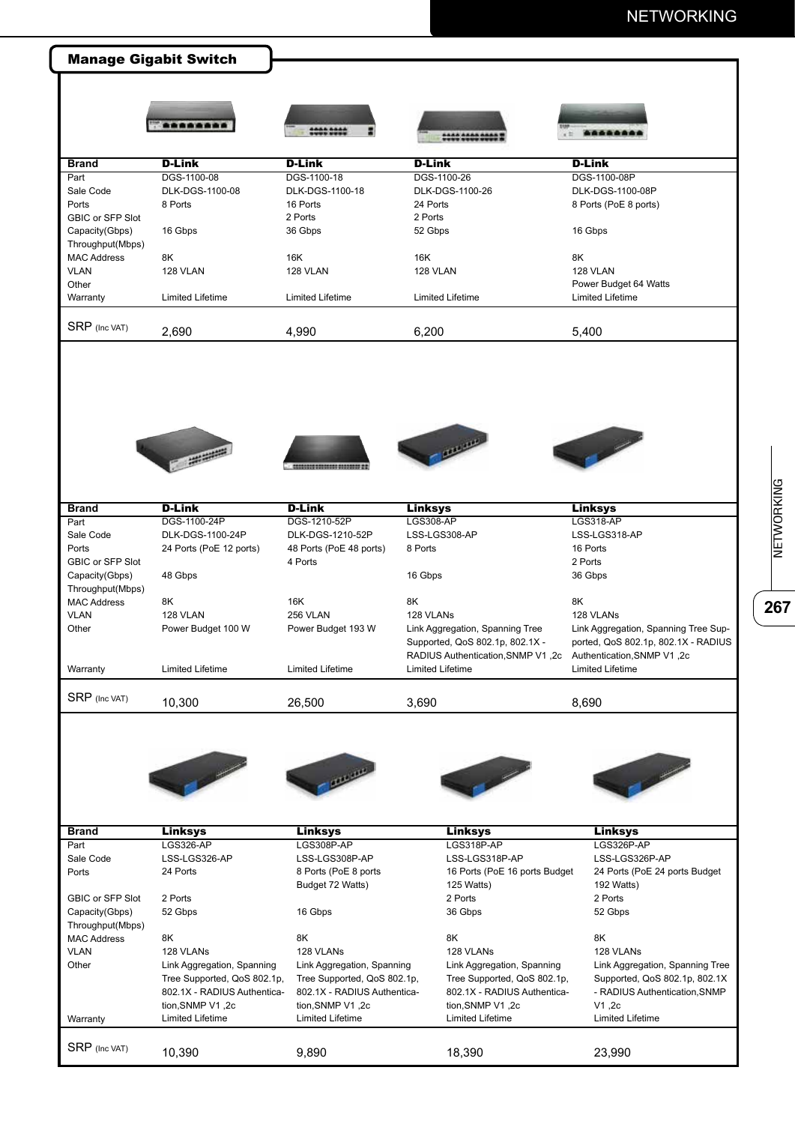## NETWORKING

|                         | *******                                                                                                                                                                                                                                                                                                                                                                                                                                                                                                                                                                      | ********                                 |                                                                                                                      |                                                                                                                                                                                                                                                                                                                                                                                                                   |
|-------------------------|------------------------------------------------------------------------------------------------------------------------------------------------------------------------------------------------------------------------------------------------------------------------------------------------------------------------------------------------------------------------------------------------------------------------------------------------------------------------------------------------------------------------------------------------------------------------------|------------------------------------------|----------------------------------------------------------------------------------------------------------------------|-------------------------------------------------------------------------------------------------------------------------------------------------------------------------------------------------------------------------------------------------------------------------------------------------------------------------------------------------------------------------------------------------------------------|
| <b>Brand</b>            | <b>D-Link</b>                                                                                                                                                                                                                                                                                                                                                                                                                                                                                                                                                                | <b>D-Link</b>                            | <b>D-Link</b>                                                                                                        | <b>D-Link</b>                                                                                                                                                                                                                                                                                                                                                                                                     |
| Part                    | DGS-1100-08                                                                                                                                                                                                                                                                                                                                                                                                                                                                                                                                                                  | DGS-1100-18                              | DGS-1100-26                                                                                                          | DGS-1100-08P                                                                                                                                                                                                                                                                                                                                                                                                      |
| Sale Code               | DLK-DGS-1100-08                                                                                                                                                                                                                                                                                                                                                                                                                                                                                                                                                              | DLK-DGS-1100-18                          | DLK-DGS-1100-26                                                                                                      | DLK-DGS-1100-08P                                                                                                                                                                                                                                                                                                                                                                                                  |
| Ports                   | 8 Ports                                                                                                                                                                                                                                                                                                                                                                                                                                                                                                                                                                      | 16 Ports                                 | 24 Ports                                                                                                             | 8 Ports (PoE 8 ports)                                                                                                                                                                                                                                                                                                                                                                                             |
| <b>GBIC or SFP Slot</b> |                                                                                                                                                                                                                                                                                                                                                                                                                                                                                                                                                                              | 2 Ports                                  | 2 Ports                                                                                                              |                                                                                                                                                                                                                                                                                                                                                                                                                   |
| Capacity(Gbps)          | 16 Gbps                                                                                                                                                                                                                                                                                                                                                                                                                                                                                                                                                                      | 36 Gbps                                  | 52 Gbps                                                                                                              | 16 Gbps                                                                                                                                                                                                                                                                                                                                                                                                           |
| Throughput(Mbps)        |                                                                                                                                                                                                                                                                                                                                                                                                                                                                                                                                                                              |                                          |                                                                                                                      |                                                                                                                                                                                                                                                                                                                                                                                                                   |
| <b>MAC Address</b>      | 8K                                                                                                                                                                                                                                                                                                                                                                                                                                                                                                                                                                           | 16K                                      | 16K                                                                                                                  | 8K                                                                                                                                                                                                                                                                                                                                                                                                                |
| <b>VLAN</b>             | 128 VLAN                                                                                                                                                                                                                                                                                                                                                                                                                                                                                                                                                                     | 128 VLAN                                 | 128 VLAN                                                                                                             | 128 VLAN                                                                                                                                                                                                                                                                                                                                                                                                          |
| Other                   |                                                                                                                                                                                                                                                                                                                                                                                                                                                                                                                                                                              |                                          |                                                                                                                      | Power Budget 64 Watts                                                                                                                                                                                                                                                                                                                                                                                             |
| Warranty                | <b>Limited Lifetime</b>                                                                                                                                                                                                                                                                                                                                                                                                                                                                                                                                                      | <b>Limited Lifetime</b>                  | <b>Limited Lifetime</b>                                                                                              | <b>Limited Lifetime</b>                                                                                                                                                                                                                                                                                                                                                                                           |
| SRP (Inc VAT)           |                                                                                                                                                                                                                                                                                                                                                                                                                                                                                                                                                                              |                                          |                                                                                                                      |                                                                                                                                                                                                                                                                                                                                                                                                                   |
|                         | 2,690                                                                                                                                                                                                                                                                                                                                                                                                                                                                                                                                                                        | 4,990                                    | 6,200                                                                                                                | 5,400                                                                                                                                                                                                                                                                                                                                                                                                             |
|                         |                                                                                                                                                                                                                                                                                                                                                                                                                                                                                                                                                                              |                                          | <b>Carl Comment Comment Comment</b>                                                                                  | <b>Contract Contract Contract Contract Contract Contract Contract Contract Contract Contract Contract Contract C</b>                                                                                                                                                                                                                                                                                              |
| <b>Brand</b>            | <b>D-Link</b>                                                                                                                                                                                                                                                                                                                                                                                                                                                                                                                                                                | <b>D-Link</b>                            | <b>Linksys</b>                                                                                                       | <b>Linksys</b>                                                                                                                                                                                                                                                                                                                                                                                                    |
| Part                    | DGS-1100-24P                                                                                                                                                                                                                                                                                                                                                                                                                                                                                                                                                                 | DGS-1210-52P                             | <b>LGS308-AP</b>                                                                                                     | LGS318-AP                                                                                                                                                                                                                                                                                                                                                                                                         |
| Sale Code               | DLK-DGS-1100-24P                                                                                                                                                                                                                                                                                                                                                                                                                                                                                                                                                             | DLK-DGS-1210-52P                         | LSS-LGS308-AP                                                                                                        | LSS-LGS318-AP                                                                                                                                                                                                                                                                                                                                                                                                     |
| Ports                   | 24 Ports (PoE 12 ports)                                                                                                                                                                                                                                                                                                                                                                                                                                                                                                                                                      | 48 Ports (PoE 48 ports)                  | 8 Ports                                                                                                              | 16 Ports                                                                                                                                                                                                                                                                                                                                                                                                          |
| GBIC or SFP Slot        |                                                                                                                                                                                                                                                                                                                                                                                                                                                                                                                                                                              | 4 Ports                                  |                                                                                                                      | 2 Ports                                                                                                                                                                                                                                                                                                                                                                                                           |
| Capacity(Gbps)          | 48 Gbps                                                                                                                                                                                                                                                                                                                                                                                                                                                                                                                                                                      |                                          | 16 Gbps                                                                                                              | 36 Gbps                                                                                                                                                                                                                                                                                                                                                                                                           |
| Throughput(Mbps)        |                                                                                                                                                                                                                                                                                                                                                                                                                                                                                                                                                                              |                                          |                                                                                                                      |                                                                                                                                                                                                                                                                                                                                                                                                                   |
| <b>MAC Address</b>      | 8K                                                                                                                                                                                                                                                                                                                                                                                                                                                                                                                                                                           | 16K                                      | 8K                                                                                                                   | 8K                                                                                                                                                                                                                                                                                                                                                                                                                |
| <b>VLAN</b>             | 128 VLAN                                                                                                                                                                                                                                                                                                                                                                                                                                                                                                                                                                     | 256 VLAN                                 | 128 VLANs                                                                                                            | 128 VLANs                                                                                                                                                                                                                                                                                                                                                                                                         |
| Other                   | Power Budget 100 W                                                                                                                                                                                                                                                                                                                                                                                                                                                                                                                                                           | Power Budget 193 W                       | Link Aggregation, Spanning Tree                                                                                      | Link Aggregation, Spanning Tree Sup-                                                                                                                                                                                                                                                                                                                                                                              |
|                         |                                                                                                                                                                                                                                                                                                                                                                                                                                                                                                                                                                              |                                          | Supported, QoS 802.1p, 802.1X -                                                                                      | ported, QoS 802.1p, 802.1X - RADIUS                                                                                                                                                                                                                                                                                                                                                                               |
|                         |                                                                                                                                                                                                                                                                                                                                                                                                                                                                                                                                                                              |                                          | RADIUS Authentication, SNMP V1, 2c Authentication, SNMP V1, 2c                                                       |                                                                                                                                                                                                                                                                                                                                                                                                                   |
| Warranty                | Limited Lifetime                                                                                                                                                                                                                                                                                                                                                                                                                                                                                                                                                             | Limited Lifetime                         | <b>Limited Lifetime</b>                                                                                              | <b>Limited Lifetime</b>                                                                                                                                                                                                                                                                                                                                                                                           |
| SRP (Inc VAT)           | 10,300                                                                                                                                                                                                                                                                                                                                                                                                                                                                                                                                                                       | 26,500                                   | 3,690                                                                                                                | 8,690                                                                                                                                                                                                                                                                                                                                                                                                             |
|                         | $\begin{array}{c} \mathcal{L}_{\mathcal{A}}(\mathcal{A}) \rightarrow \mathcal{L}_{\mathcal{A}}(\mathcal{A}) \rightarrow \mathcal{L}_{\mathcal{A}}(\mathcal{A}) \rightarrow \mathcal{L}_{\mathcal{A}}(\mathcal{A}) \rightarrow \mathcal{L}_{\mathcal{A}}(\mathcal{A}) \rightarrow \mathcal{L}_{\mathcal{A}}(\mathcal{A}) \rightarrow \mathcal{L}_{\mathcal{A}}(\mathcal{A}) \rightarrow \mathcal{L}_{\mathcal{A}}(\mathcal{A}) \rightarrow \mathcal{L}_{\mathcal{A}}(\mathcal{A}) \rightarrow \mathcal{L}_{\mathcal{A}}(\mathcal{A}) \rightarrow \mathcal{L}_{\mathcal{A}}(\$ |                                          | <b>Contract Contract Contract Contract Contract Contract Contract Contract Contract Contract Contract Contract C</b> | $\frac{1}{2} \int_{0}^{2\pi} \frac{1}{\sqrt{2\pi}} \frac{1}{\sqrt{2\pi}} \frac{1}{\sqrt{2\pi}} \frac{1}{\sqrt{2\pi}} \frac{1}{\sqrt{2\pi}} \frac{1}{\sqrt{2\pi}} \frac{1}{\sqrt{2\pi}} \frac{1}{\sqrt{2\pi}} \frac{1}{\sqrt{2\pi}} \frac{1}{\sqrt{2\pi}} \frac{1}{\sqrt{2\pi}} \frac{1}{\sqrt{2\pi}} \frac{1}{\sqrt{2\pi}} \frac{1}{\sqrt{2\pi}} \frac{1}{\sqrt{2\pi}} \frac{1}{\sqrt{2\pi}} \frac{1}{\sqrt{2\pi$ |
| <b>Brand</b>            | Linksys                                                                                                                                                                                                                                                                                                                                                                                                                                                                                                                                                                      | Linksys                                  | Linksys                                                                                                              | Linksys                                                                                                                                                                                                                                                                                                                                                                                                           |
| Part                    | <b>LGS326-AP</b>                                                                                                                                                                                                                                                                                                                                                                                                                                                                                                                                                             | LGS308P-AP                               | LGS318P-AP                                                                                                           | LGS326P-AP                                                                                                                                                                                                                                                                                                                                                                                                        |
| Sale Code               | LSS-LGS326-AP                                                                                                                                                                                                                                                                                                                                                                                                                                                                                                                                                                | LSS-LGS308P-AP                           | LSS-LGS318P-AP                                                                                                       | LSS-LGS326P-AP                                                                                                                                                                                                                                                                                                                                                                                                    |
| Ports                   | 24 Ports                                                                                                                                                                                                                                                                                                                                                                                                                                                                                                                                                                     | 8 Ports (PoE 8 ports<br>Budget 72 Watts) | 16 Ports (PoE 16 ports Budget<br>125 Watts)                                                                          | 24 Ports (PoE 24 ports Budget<br>192 Watts)                                                                                                                                                                                                                                                                                                                                                                       |
| GBIC or SFP Slot        | 2 Ports                                                                                                                                                                                                                                                                                                                                                                                                                                                                                                                                                                      |                                          | 2 Ports                                                                                                              | 2 Ports                                                                                                                                                                                                                                                                                                                                                                                                           |
| Capacity(Gbps)          | 52 Gbps                                                                                                                                                                                                                                                                                                                                                                                                                                                                                                                                                                      | 16 Gbps                                  | 36 Gbps                                                                                                              | 52 Gbps                                                                                                                                                                                                                                                                                                                                                                                                           |
| Throughput(Mbps)        |                                                                                                                                                                                                                                                                                                                                                                                                                                                                                                                                                                              |                                          |                                                                                                                      |                                                                                                                                                                                                                                                                                                                                                                                                                   |
| <b>MAC Address</b>      | 8K                                                                                                                                                                                                                                                                                                                                                                                                                                                                                                                                                                           | 8K                                       | 8K                                                                                                                   | 8K                                                                                                                                                                                                                                                                                                                                                                                                                |
| <b>VLAN</b>             | 128 VLANs                                                                                                                                                                                                                                                                                                                                                                                                                                                                                                                                                                    | 128 VLANs                                | 128 VLANs                                                                                                            | 128 VLANs                                                                                                                                                                                                                                                                                                                                                                                                         |
| Other                   | Link Aggregation, Spanning                                                                                                                                                                                                                                                                                                                                                                                                                                                                                                                                                   | Link Aggregation, Spanning               | Link Aggregation, Spanning                                                                                           | Link Aggregation, Spanning Tree                                                                                                                                                                                                                                                                                                                                                                                   |
|                         | Tree Supported, QoS 802.1p,                                                                                                                                                                                                                                                                                                                                                                                                                                                                                                                                                  | Tree Supported, QoS 802.1p,              | Tree Supported, QoS 802.1p,                                                                                          | Supported, QoS 802.1p, 802.1X                                                                                                                                                                                                                                                                                                                                                                                     |
|                         | 802.1X - RADIUS Authentica-                                                                                                                                                                                                                                                                                                                                                                                                                                                                                                                                                  | 802.1X - RADIUS Authentica-              | 802.1X - RADIUS Authentica-                                                                                          | - RADIUS Authentication, SNMP                                                                                                                                                                                                                                                                                                                                                                                     |
|                         | tion, SNMP V1, 2c                                                                                                                                                                                                                                                                                                                                                                                                                                                                                                                                                            | tion, SNMP V1, 2c                        | tion, SNMP V1, 2c                                                                                                    | V1,2c                                                                                                                                                                                                                                                                                                                                                                                                             |
| Warranty                | <b>Limited Lifetime</b>                                                                                                                                                                                                                                                                                                                                                                                                                                                                                                                                                      | <b>Limited Lifetime</b>                  | <b>Limited Lifetime</b>                                                                                              | <b>Limited Lifetime</b>                                                                                                                                                                                                                                                                                                                                                                                           |
| SRP (Inc VAT)           |                                                                                                                                                                                                                                                                                                                                                                                                                                                                                                                                                                              |                                          |                                                                                                                      |                                                                                                                                                                                                                                                                                                                                                                                                                   |
|                         | 10,390                                                                                                                                                                                                                                                                                                                                                                                                                                                                                                                                                                       | 9,890                                    | 18,390                                                                                                               | 23,990                                                                                                                                                                                                                                                                                                                                                                                                            |

NETWORKING **267** 

 $\overline{\overline{\textbf{267}}}$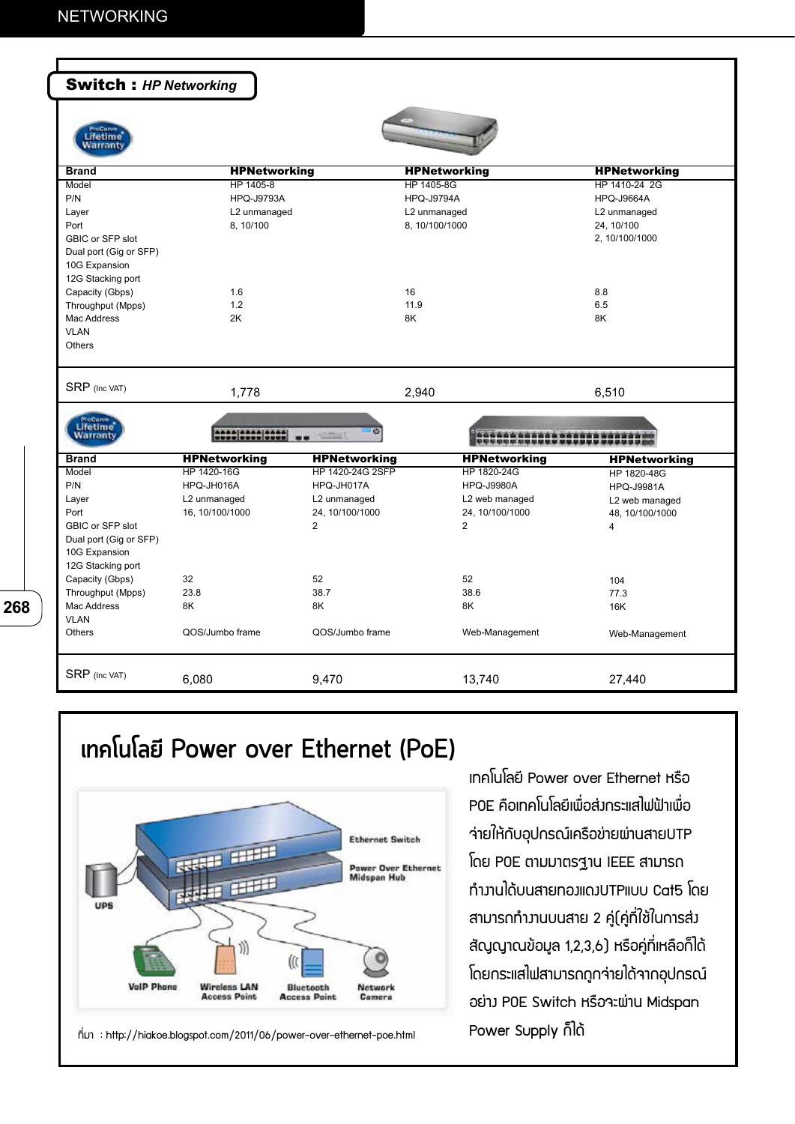**268**

 $\overline{\phantom{a}}$ 

| <b>Switch: HP Networking</b> |                     |                     |                              |                     |
|------------------------------|---------------------|---------------------|------------------------------|---------------------|
|                              |                     |                     |                              |                     |
| lfetime<br>Warranti          |                     |                     |                              |                     |
| <b>Brand</b>                 | <b>HPNetworking</b> |                     | <b>HPNetworking</b>          | <b>HPNetworking</b> |
| Model                        | HP 1405-8           |                     | HP 1405-8G                   | HP 1410-24 2G       |
| P/N                          | <b>HPQ-J9793A</b>   |                     | <b>HPQ-J9794A</b>            | <b>HPQ-J9664A</b>   |
| Layer                        | L2 unmanaged        |                     | L2 unmanaged                 | L2 unmanaged        |
| Port                         | 8, 10/100           |                     | 8, 10/100/1000               | 24, 10/100          |
| GBIC or SFP slot             |                     |                     |                              | 2, 10/100/1000      |
| Dual port (Gig or SFP)       |                     |                     |                              |                     |
| 10G Expansion                |                     |                     |                              |                     |
| 12G Stacking port            |                     |                     |                              |                     |
| Capacity (Gbps)              | 1.6                 |                     | 16                           | 8.8                 |
| Throughput (Mpps)            | 1.2                 |                     | 11.9                         | 6.5                 |
| Mac Address                  | 2K                  |                     | 8K                           | 8K                  |
| <b>VLAN</b>                  |                     |                     |                              |                     |
| Others                       |                     |                     |                              |                     |
|                              |                     |                     |                              |                     |
| SRP (Inc VAT)                | 1,778               |                     | 2,940                        | 6,510               |
|                              |                     |                     |                              |                     |
| <b>Lifetime</b>              |                     |                     |                              |                     |
| <b>Warranty</b>              | 2000 0000 0000      | Tinfinit            | 466666666668<br>CLECCCCOUNCE |                     |
| <b>Brand</b>                 | <b>HPNetworking</b> | <b>HPNetworking</b> | <b>HPNetworking</b>          | <b>HPNetworking</b> |
| Model                        | HP 1420-16G         | HP 1420-24G 2SFP    | HP 1820-24G                  | HP 1820-48G         |
| P/N                          | HPQ-JH016A          | HPQ-JH017A          | <b>HPQ-J9980A</b>            | <b>HPQ-J9981A</b>   |
| Layer                        | L2 unmanaged        | L2 unmanaged        | L2 web managed               | L2 web managed      |
| Port                         | 16, 10/100/1000     | 24, 10/100/1000     | 24, 10/100/1000              | 48, 10/100/1000     |
| GBIC or SFP slot             |                     | $\overline{2}$      | 2                            | $\overline{4}$      |
| Dual port (Gig or SFP)       |                     |                     |                              |                     |
| 10G Expansion                |                     |                     |                              |                     |
| 12G Stacking port            |                     |                     |                              |                     |
| Capacity (Gbps)              | 32                  | 52                  | 52                           | 104                 |
| Throughput (Mpps)            | 23.8                | 38.7                | 38.6                         | 77.3                |
| Mac Address                  | 8K                  | 8K                  | 8K                           | 16K                 |
| <b>VLAN</b>                  |                     |                     |                              |                     |
| Others                       | QOS/Jumbo frame     | QOS/Jumbo frame     | Web-Management               | Web-Management      |
| SRP (Inc VAT)                |                     |                     |                              |                     |
|                              | 6,080               | 9,470               | 13,740                       | 27,440              |

## **เทคโนโลยี Power over Ethernet (PoE)**



ที่มา : http://hiakoe.blogspot.com/2011/06/power-over-ethernet-poe.html

เทคโนโลยี Power over Ethernet หรือ POE คือเทคโนโลยีเพื่อส่งกระแสไฟฟ้าเพื่อ จ่ายให้กับอุปกรณ์เครือข่ายผ่านสายUTP โดย POE ตามมาตรฐาน IEEE สามารถ ทำงานได้บนสายทองแดงUTPแบบ Cat5 โดย สามารถทำงานบนสาย 2 คู่(คู่ที่ใช้ในการส่ง สัญญาณข้อมูล 1,2,3,6) หรือคู่ที่เหลือก็ได้ โดยกระแสไฟสามารถถูกจ่ายได้จากอุปกรณ์ อย่าง POE Switch หรือจะผ่าน Midspan Power Supply ก็ได้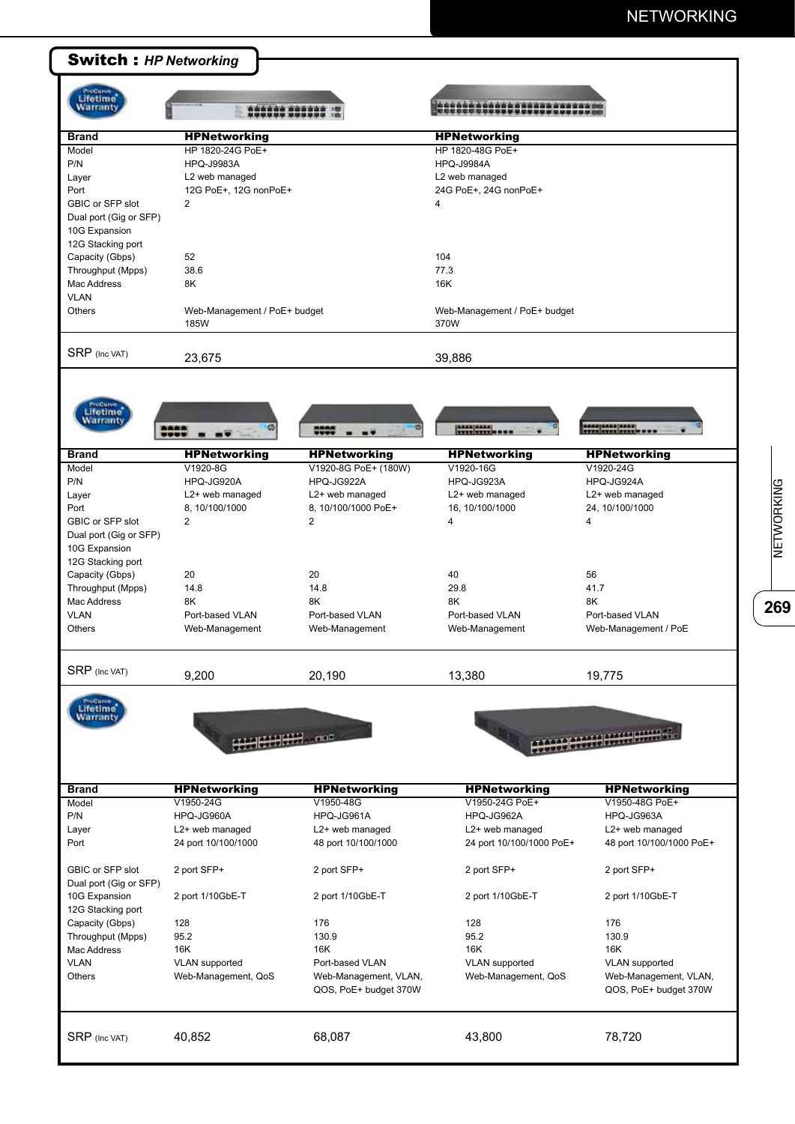

**26**<br>NETWORKING NETWORKING

269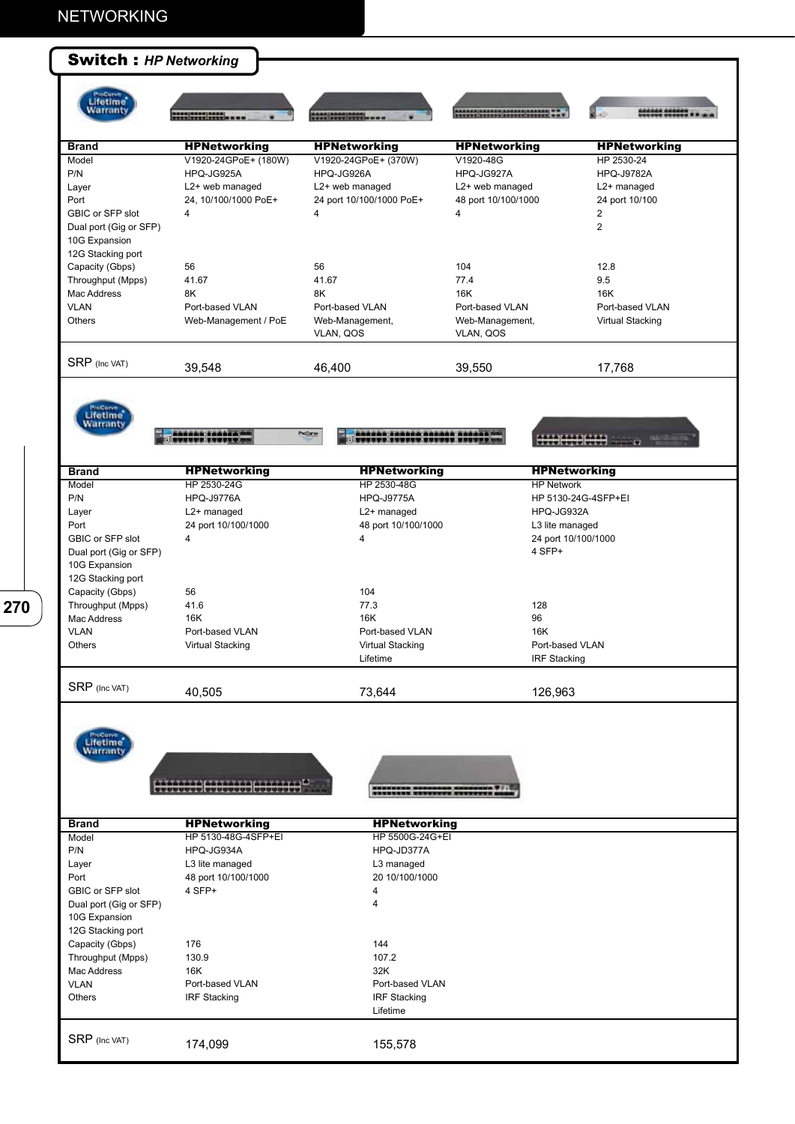